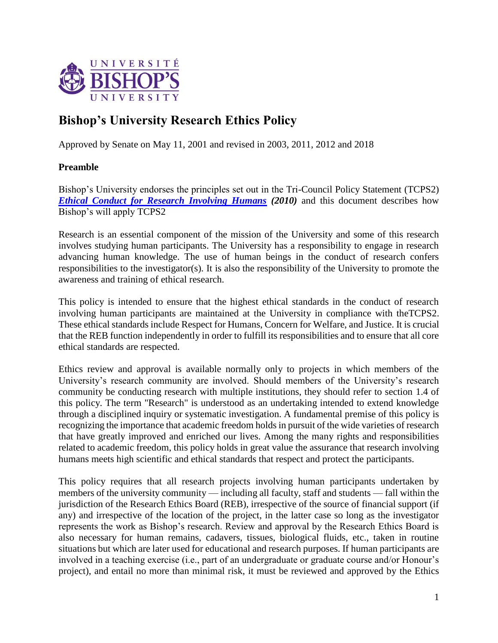

# **Bishop's University Research Ethics Policy**

Approved by Senate on May 11, 2001 and revised in 2003, 2011, 2012 and 2018

## **Preamble**

Bishop's University endorses the principles set out in the Tri-Council Policy Statement (TCPS2) *[Ethical Conduct for Research Involving Humans](http://www.nserc.ca/programs/ethics/english/policy.htm)* (2010) and this document describes how Bishop's will apply TCPS2

Research is an essential component of the mission of the University and some of this research involves studying human participants. The University has a responsibility to engage in research advancing human knowledge. The use of human beings in the conduct of research confers responsibilities to the investigator(s). It is also the responsibility of the University to promote the awareness and training of ethical research.

This policy is intended to ensure that the highest ethical standards in the conduct of research involving human participants are maintained at the University in compliance with theTCPS2. These ethical standards include Respect for Humans, Concern for Welfare, and Justice. It is crucial that the REB function independently in order to fulfill its responsibilities and to ensure that all core ethical standards are respected.

Ethics review and approval is available normally only to projects in which members of the University's research community are involved. Should members of the University's research community be conducting research with multiple institutions, they should refer to section 1.4 of this policy. The term "Research" is understood as an undertaking intended to extend knowledge through a disciplined inquiry or systematic investigation. A fundamental premise of this policy is recognizing the importance that academic freedom holds in pursuit of the wide varieties of research that have greatly improved and enriched our lives. Among the many rights and responsibilities related to academic freedom, this policy holds in great value the assurance that research involving humans meets high scientific and ethical standards that respect and protect the participants.

This policy requires that all research projects involving human participants undertaken by members of the university community — including all faculty, staff and students — fall within the jurisdiction of the Research Ethics Board (REB), irrespective of the source of financial support (if any) and irrespective of the location of the project, in the latter case so long as the investigator represents the work as Bishop's research. Review and approval by the Research Ethics Board is also necessary for human remains, cadavers, tissues, biological fluids, etc., taken in routine situations but which are later used for educational and research purposes. If human participants are involved in a teaching exercise (i.e., part of an undergraduate or graduate course and/or Honour's project), and entail no more than minimal risk, it must be reviewed and approved by the Ethics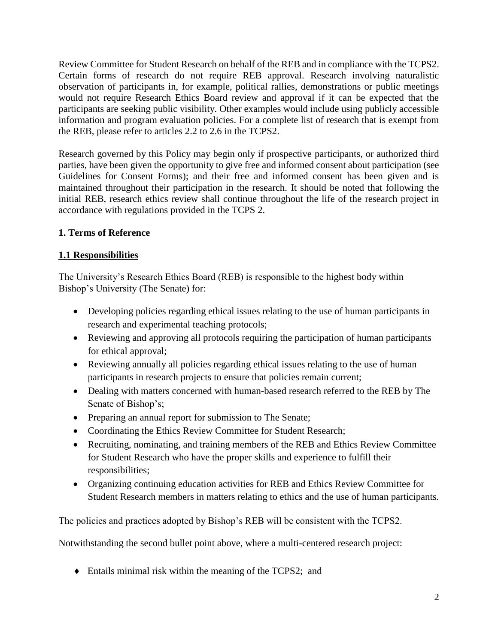Review Committee for Student Research on behalf of the REB and in compliance with the TCPS2. Certain forms of research do not require REB approval. Research involving naturalistic observation of participants in, for example, political rallies, demonstrations or public meetings would not require Research Ethics Board review and approval if it can be expected that the participants are seeking public visibility. Other examples would include using publicly accessible information and program evaluation policies. For a complete list of research that is exempt from the REB, please refer to articles 2.2 to 2.6 in the TCPS2.

Research governed by this Policy may begin only if prospective participants, or authorized third parties, have been given the opportunity to give free and informed consent about participation (see Guidelines for Consent Forms); and their free and informed consent has been given and is maintained throughout their participation in the research. It should be noted that following the initial REB, research ethics review shall continue throughout the life of the research project in accordance with regulations provided in the TCPS 2.

## **1. Terms of Reference**

## **1.1 Responsibilities**

The University's Research Ethics Board (REB) is responsible to the highest body within Bishop's University (The Senate) for:

- Developing policies regarding ethical issues relating to the use of human participants in research and experimental teaching protocols;
- Reviewing and approving all protocols requiring the participation of human participants for ethical approval;
- Reviewing annually all policies regarding ethical issues relating to the use of human participants in research projects to ensure that policies remain current;
- Dealing with matters concerned with human-based research referred to the REB by The Senate of Bishop's;
- Preparing an annual report for submission to The Senate;
- Coordinating the Ethics Review Committee for Student Research;
- Recruiting, nominating, and training members of the REB and Ethics Review Committee for Student Research who have the proper skills and experience to fulfill their responsibilities;
- Organizing continuing education activities for REB and Ethics Review Committee for Student Research members in matters relating to ethics and the use of human participants.

The policies and practices adopted by Bishop's REB will be consistent with the TCPS2.

Notwithstanding the second bullet point above, where a multi-centered research project:

Entails minimal risk within the meaning of the TCPS2; and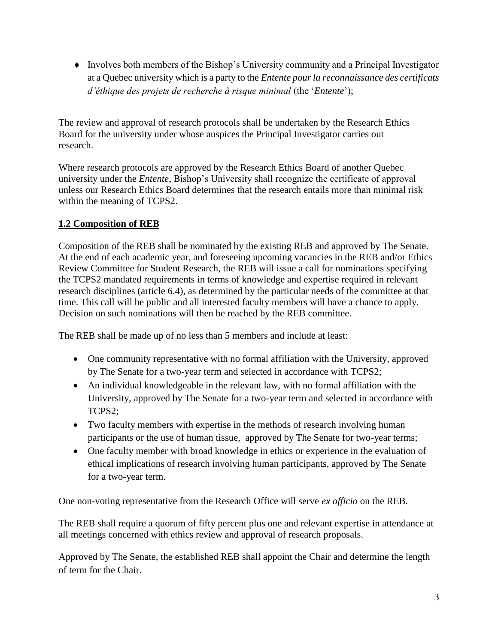Involves both members of the Bishop's University community and a Principal Investigator at a Quebec university which is a party to the *Entente pour la reconnaissance des certificats d'éthique des projets de recherche à risque minimal* (the '*Entente*');

The review and approval of research protocols shall be undertaken by the Research Ethics Board for the university under whose auspices the Principal Investigator carries out research.

Where research protocols are approved by the Research Ethics Board of another Quebec university under the *Entente*, Bishop's University shall recognize the certificate of approval unless our Research Ethics Board determines that the research entails more than minimal risk within the meaning of TCPS2.

## **1.2 Composition of REB**

Composition of the REB shall be nominated by the existing REB and approved by The Senate. At the end of each academic year, and foreseeing upcoming vacancies in the REB and/or Ethics Review Committee for Student Research, the REB will issue a call for nominations specifying the TCPS2 mandated requirements in terms of knowledge and expertise required in relevant research disciplines (article 6.4), as determined by the particular needs of the committee at that time. This call will be public and all interested faculty members will have a chance to apply. Decision on such nominations will then be reached by the REB committee.

The REB shall be made up of no less than 5 members and include at least:

- One community representative with no formal affiliation with the University, approved by The Senate for a two-year term and selected in accordance with TCPS2;
- An individual knowledgeable in the relevant law, with no formal affiliation with the University, approved by The Senate for a two-year term and selected in accordance with TCPS2;
- Two faculty members with expertise in the methods of research involving human participants or the use of human tissue, approved by The Senate for two-year terms;
- One faculty member with broad knowledge in ethics or experience in the evaluation of ethical implications of research involving human participants, approved by The Senate for a two-year term.

One non-voting representative from the Research Office will serve *ex officio* on the REB.

The REB shall require a quorum of fifty percent plus one and relevant expertise in attendance at all meetings concerned with ethics review and approval of research proposals.

Approved by The Senate, the established REB shall appoint the Chair and determine the length of term for the Chair.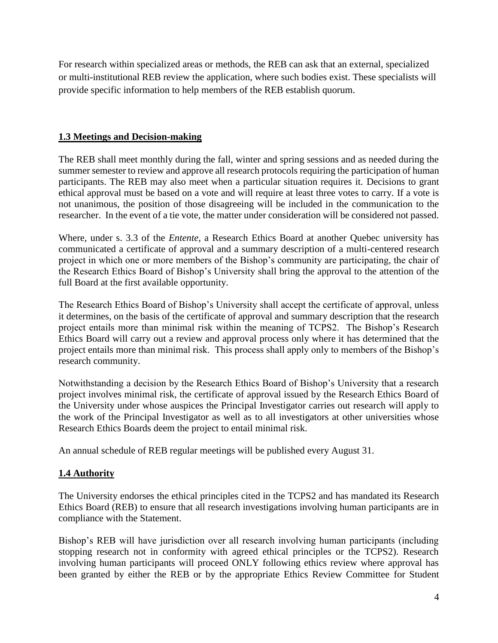For research within specialized areas or methods, the REB can ask that an external, specialized or multi-institutional REB review the application, where such bodies exist. These specialists will provide specific information to help members of the REB establish quorum.

## **1.3 Meetings and Decision-making**

The REB shall meet monthly during the fall, winter and spring sessions and as needed during the summer semester to review and approve all research protocols requiring the participation of human participants. The REB may also meet when a particular situation requires it. Decisions to grant ethical approval must be based on a vote and will require at least three votes to carry. If a vote is not unanimous, the position of those disagreeing will be included in the communication to the researcher. In the event of a tie vote, the matter under consideration will be considered not passed.

Where, under s. 3.3 of the *Entente*, a Research Ethics Board at another Quebec university has communicated a certificate of approval and a summary description of a multi-centered research project in which one or more members of the Bishop's community are participating, the chair of the Research Ethics Board of Bishop's University shall bring the approval to the attention of the full Board at the first available opportunity.

The Research Ethics Board of Bishop's University shall accept the certificate of approval, unless it determines, on the basis of the certificate of approval and summary description that the research project entails more than minimal risk within the meaning of TCPS2. The Bishop's Research Ethics Board will carry out a review and approval process only where it has determined that the project entails more than minimal risk. This process shall apply only to members of the Bishop's research community.

Notwithstanding a decision by the Research Ethics Board of Bishop's University that a research project involves minimal risk, the certificate of approval issued by the Research Ethics Board of the University under whose auspices the Principal Investigator carries out research will apply to the work of the Principal Investigator as well as to all investigators at other universities whose Research Ethics Boards deem the project to entail minimal risk.

An annual schedule of REB regular meetings will be published every August 31.

## **1.4 Authority**

The University endorses the ethical principles cited in the TCPS2 and has mandated its Research Ethics Board (REB) to ensure that all research investigations involving human participants are in compliance with the Statement.

Bishop's REB will have jurisdiction over all research involving human participants (including stopping research not in conformity with agreed ethical principles or the TCPS2). Research involving human participants will proceed ONLY following ethics review where approval has been granted by either the REB or by the appropriate Ethics Review Committee for Student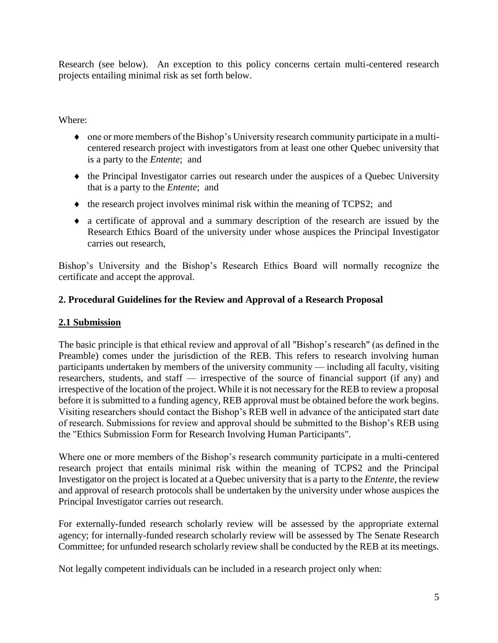Research (see below). An exception to this policy concerns certain multi-centered research projects entailing minimal risk as set forth below.

Where:

- one or more members of the Bishop's University research community participate in a multicentered research project with investigators from at least one other Quebec university that is a party to the *Entente*; and
- the Principal Investigator carries out research under the auspices of a Quebec University that is a party to the *Entente*; and
- $\bullet$  the research project involves minimal risk within the meaning of TCPS2; and
- a certificate of approval and a summary description of the research are issued by the Research Ethics Board of the university under whose auspices the Principal Investigator carries out research,

Bishop's University and the Bishop's Research Ethics Board will normally recognize the certificate and accept the approval.

## **2. Procedural Guidelines for the Review and Approval of a Research Proposal**

### **2.1 Submission**

The basic principle is that ethical review and approval of all "Bishop's research" (as defined in the Preamble) comes under the jurisdiction of the REB. This refers to research involving human participants undertaken by members of the university community — including all faculty, visiting researchers, students, and staff — irrespective of the source of financial support (if any) and irrespective of the location of the project. While it is not necessary for the REB to review a proposal before it is submitted to a funding agency, REB approval must be obtained before the work begins. Visiting researchers should contact the Bishop's REB well in advance of the anticipated start date of research. Submissions for review and approval should be submitted to the Bishop's REB using the "Ethics Submission Form for Research Involving Human Participants".

Where one or more members of the Bishop's research community participate in a multi-centered research project that entails minimal risk within the meaning of TCPS2 and the Principal Investigator on the project is located at a Quebec university that is a party to the *Entente*, the review and approval of research protocols shall be undertaken by the university under whose auspices the Principal Investigator carries out research.

For externally-funded research scholarly review will be assessed by the appropriate external agency; for internally-funded research scholarly review will be assessed by The Senate Research Committee; for unfunded research scholarly review shall be conducted by the REB at its meetings.

Not legally competent individuals can be included in a research project only when: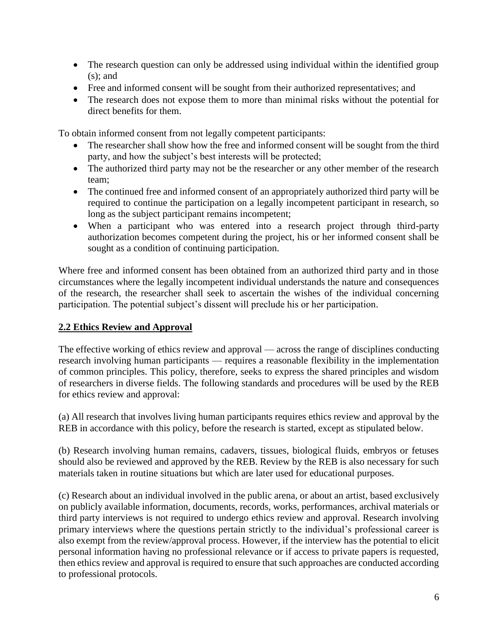- The research question can only be addressed using individual within the identified group  $(s)$ ; and
- Free and informed consent will be sought from their authorized representatives; and
- The research does not expose them to more than minimal risks without the potential for direct benefits for them.

To obtain informed consent from not legally competent participants:

- The researcher shall show how the free and informed consent will be sought from the third party, and how the subject's best interests will be protected;
- The authorized third party may not be the researcher or any other member of the research team;
- The continued free and informed consent of an appropriately authorized third party will be required to continue the participation on a legally incompetent participant in research, so long as the subject participant remains incompetent;
- When a participant who was entered into a research project through third-party authorization becomes competent during the project, his or her informed consent shall be sought as a condition of continuing participation.

Where free and informed consent has been obtained from an authorized third party and in those circumstances where the legally incompetent individual understands the nature and consequences of the research, the researcher shall seek to ascertain the wishes of the individual concerning participation. The potential subject's dissent will preclude his or her participation.

## **2.2 Ethics Review and Approval**

The effective working of ethics review and approval — across the range of disciplines conducting research involving human participants — requires a reasonable flexibility in the implementation of common principles. This policy, therefore, seeks to express the shared principles and wisdom of researchers in diverse fields. The following standards and procedures will be used by the REB for ethics review and approval:

(a) All research that involves living human participants requires ethics review and approval by the REB in accordance with this policy, before the research is started, except as stipulated below.

(b) Research involving human remains, cadavers, tissues, biological fluids, embryos or fetuses should also be reviewed and approved by the REB. Review by the REB is also necessary for such materials taken in routine situations but which are later used for educational purposes.

(c) Research about an individual involved in the public arena, or about an artist, based exclusively on publicly available information, documents, records, works, performances, archival materials or third party interviews is not required to undergo ethics review and approval. Research involving primary interviews where the questions pertain strictly to the individual's professional career is also exempt from the review/approval process. However, if the interview has the potential to elicit personal information having no professional relevance or if access to private papers is requested, then ethics review and approval is required to ensure that such approaches are conducted according to professional protocols.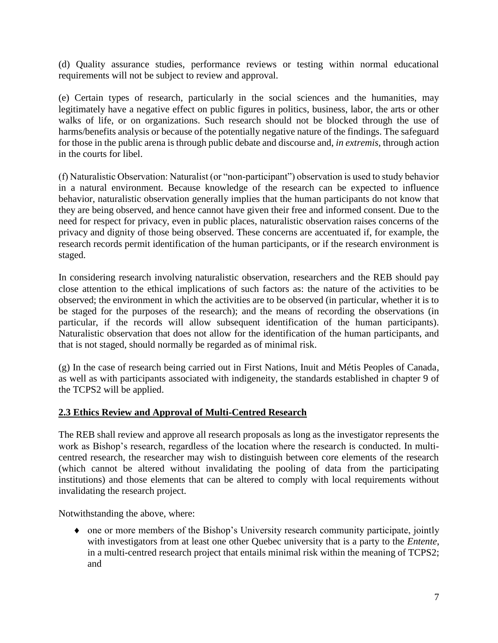(d) Quality assurance studies, performance reviews or testing within normal educational requirements will not be subject to review and approval.

(e) Certain types of research, particularly in the social sciences and the humanities, may legitimately have a negative effect on public figures in politics, business, labor, the arts or other walks of life, or on organizations. Such research should not be blocked through the use of harms/benefits analysis or because of the potentially negative nature of the findings. The safeguard for those in the public arena is through public debate and discourse and, *in extremis,* through action in the courts for libel.

(f) Naturalistic Observation: Naturalist (or "non-participant") observation is used to study behavior in a natural environment. Because knowledge of the research can be expected to influence behavior, naturalistic observation generally implies that the human participants do not know that they are being observed, and hence cannot have given their free and informed consent. Due to the need for respect for privacy, even in public places, naturalistic observation raises concerns of the privacy and dignity of those being observed. These concerns are accentuated if, for example, the research records permit identification of the human participants, or if the research environment is staged.

In considering research involving naturalistic observation, researchers and the REB should pay close attention to the ethical implications of such factors as: the nature of the activities to be observed; the environment in which the activities are to be observed (in particular, whether it is to be staged for the purposes of the research); and the means of recording the observations (in particular, if the records will allow subsequent identification of the human participants). Naturalistic observation that does not allow for the identification of the human participants, and that is not staged, should normally be regarded as of minimal risk.

(g) In the case of research being carried out in First Nations, Inuit and Métis Peoples of Canada, as well as with participants associated with indigeneity, the standards established in chapter 9 of the TCPS2 will be applied.

#### **2.3 Ethics Review and Approval of Multi-Centred Research**

The REB shall review and approve all research proposals as long as the investigator represents the work as Bishop's research, regardless of the location where the research is conducted. In multicentred research, the researcher may wish to distinguish between core elements of the research (which cannot be altered without invalidating the pooling of data from the participating institutions) and those elements that can be altered to comply with local requirements without invalidating the research project.

Notwithstanding the above, where:

• one or more members of the Bishop's University research community participate, jointly with investigators from at least one other Quebec university that is a party to the *Entente*, in a multi-centred research project that entails minimal risk within the meaning of TCPS2; and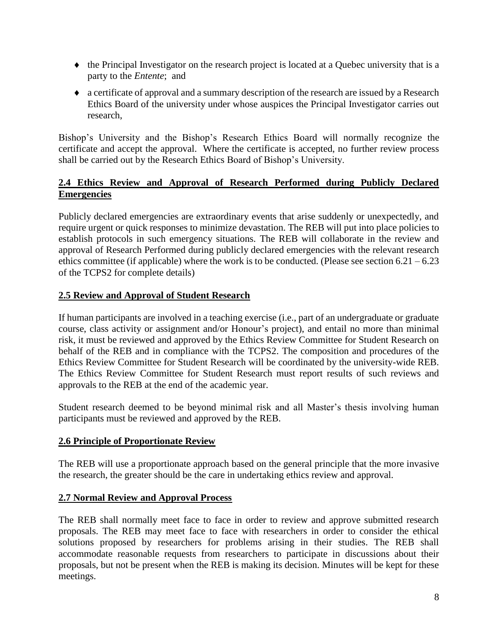- the Principal Investigator on the research project is located at a Quebec university that is a party to the *Entente*; and
- a certificate of approval and a summary description of the research are issued by a Research Ethics Board of the university under whose auspices the Principal Investigator carries out research,

Bishop's University and the Bishop's Research Ethics Board will normally recognize the certificate and accept the approval. Where the certificate is accepted, no further review process shall be carried out by the Research Ethics Board of Bishop's University.

## **2.4 Ethics Review and Approval of Research Performed during Publicly Declared Emergencies**

Publicly declared emergencies are extraordinary events that arise suddenly or unexpectedly, and require urgent or quick responses to minimize devastation. The REB will put into place policies to establish protocols in such emergency situations. The REB will collaborate in the review and approval of Research Performed during publicly declared emergencies with the relevant research ethics committee (if applicable) where the work is to be conducted. (Please see section  $6.21 - 6.23$ of the TCPS2 for complete details)

#### **2.5 Review and Approval of Student Research**

If human participants are involved in a teaching exercise (i.e., part of an undergraduate or graduate course, class activity or assignment and/or Honour's project), and entail no more than minimal risk, it must be reviewed and approved by the Ethics Review Committee for Student Research on behalf of the REB and in compliance with the TCPS2. The composition and procedures of the Ethics Review Committee for Student Research will be coordinated by the university-wide REB. The Ethics Review Committee for Student Research must report results of such reviews and approvals to the REB at the end of the academic year.

Student research deemed to be beyond minimal risk and all Master's thesis involving human participants must be reviewed and approved by the REB.

#### **2.6 Principle of Proportionate Review**

The REB will use a proportionate approach based on the general principle that the more invasive the research, the greater should be the care in undertaking ethics review and approval.

#### **2.7 Normal Review and Approval Process**

The REB shall normally meet face to face in order to review and approve submitted research proposals. The REB may meet face to face with researchers in order to consider the ethical solutions proposed by researchers for problems arising in their studies. The REB shall accommodate reasonable requests from researchers to participate in discussions about their proposals, but not be present when the REB is making its decision. Minutes will be kept for these meetings.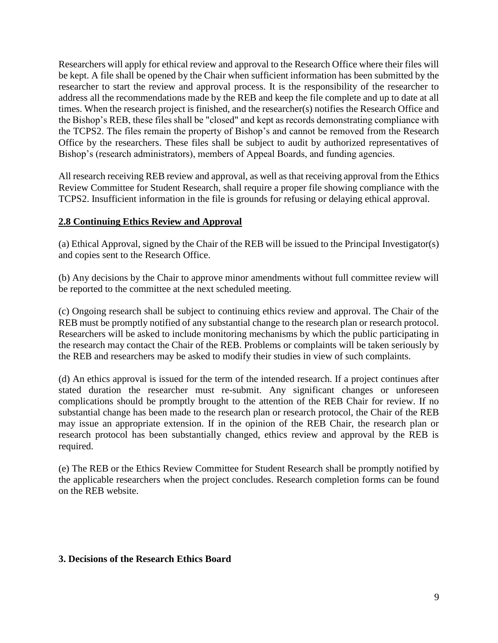Researchers will apply for ethical review and approval to the Research Office where their files will be kept. A file shall be opened by the Chair when sufficient information has been submitted by the researcher to start the review and approval process. It is the responsibility of the researcher to address all the recommendations made by the REB and keep the file complete and up to date at all times. When the research project is finished, and the researcher(s) notifies the Research Office and the Bishop's REB, these files shall be "closed" and kept as records demonstrating compliance with the TCPS2. The files remain the property of Bishop's and cannot be removed from the Research Office by the researchers. These files shall be subject to audit by authorized representatives of Bishop's (research administrators), members of Appeal Boards, and funding agencies.

All research receiving REB review and approval, as well as that receiving approval from the Ethics Review Committee for Student Research, shall require a proper file showing compliance with the TCPS2. Insufficient information in the file is grounds for refusing or delaying ethical approval.

#### **2.8 Continuing Ethics Review and Approval**

(a) Ethical Approval, signed by the Chair of the REB will be issued to the Principal Investigator(s) and copies sent to the Research Office.

(b) Any decisions by the Chair to approve minor amendments without full committee review will be reported to the committee at the next scheduled meeting.

(c) Ongoing research shall be subject to continuing ethics review and approval. The Chair of the REB must be promptly notified of any substantial change to the research plan or research protocol. Researchers will be asked to include monitoring mechanisms by which the public participating in the research may contact the Chair of the REB. Problems or complaints will be taken seriously by the REB and researchers may be asked to modify their studies in view of such complaints.

(d) An ethics approval is issued for the term of the intended research. If a project continues after stated duration the researcher must re-submit. Any significant changes or unforeseen complications should be promptly brought to the attention of the REB Chair for review. If no substantial change has been made to the research plan or research protocol, the Chair of the REB may issue an appropriate extension. If in the opinion of the REB Chair, the research plan or research protocol has been substantially changed, ethics review and approval by the REB is required.

(e) The REB or the Ethics Review Committee for Student Research shall be promptly notified by the applicable researchers when the project concludes. Research completion forms can be found on the REB website.

#### **3. Decisions of the Research Ethics Board**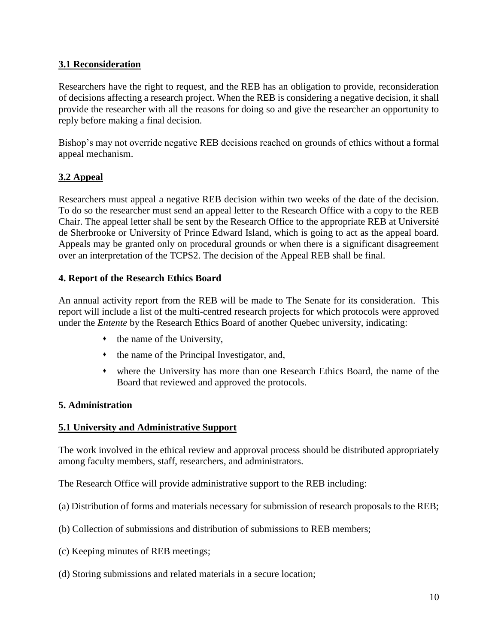## **3.1 Reconsideration**

Researchers have the right to request, and the REB has an obligation to provide, reconsideration of decisions affecting a research project. When the REB is considering a negative decision, it shall provide the researcher with all the reasons for doing so and give the researcher an opportunity to reply before making a final decision.

Bishop's may not override negative REB decisions reached on grounds of ethics without a formal appeal mechanism.

## **3.2 Appeal**

Researchers must appeal a negative REB decision within two weeks of the date of the decision. To do so the researcher must send an appeal letter to the Research Office with a copy to the REB Chair. The appeal letter shall be sent by the Research Office to the appropriate REB at Université de Sherbrooke or University of Prince Edward Island, which is going to act as the appeal board. Appeals may be granted only on procedural grounds or when there is a significant disagreement over an interpretation of the TCPS2. The decision of the Appeal REB shall be final.

#### **4. Report of the Research Ethics Board**

An annual activity report from the REB will be made to The Senate for its consideration. This report will include a list of the multi-centred research projects for which protocols were approved under the *Entente* by the Research Ethics Board of another Quebec university, indicating:

- $\cdot$  the name of the University,
- $\bullet$  the name of the Principal Investigator, and,
- where the University has more than one Research Ethics Board, the name of the Board that reviewed and approved the protocols.

#### **5. Administration**

#### **5.1 University and Administrative Support**

The work involved in the ethical review and approval process should be distributed appropriately among faculty members, staff, researchers, and administrators.

The Research Office will provide administrative support to the REB including:

- (a) Distribution of forms and materials necessary for submission of research proposals to the REB;
- (b) Collection of submissions and distribution of submissions to REB members;
- (c) Keeping minutes of REB meetings;
- (d) Storing submissions and related materials in a secure location;